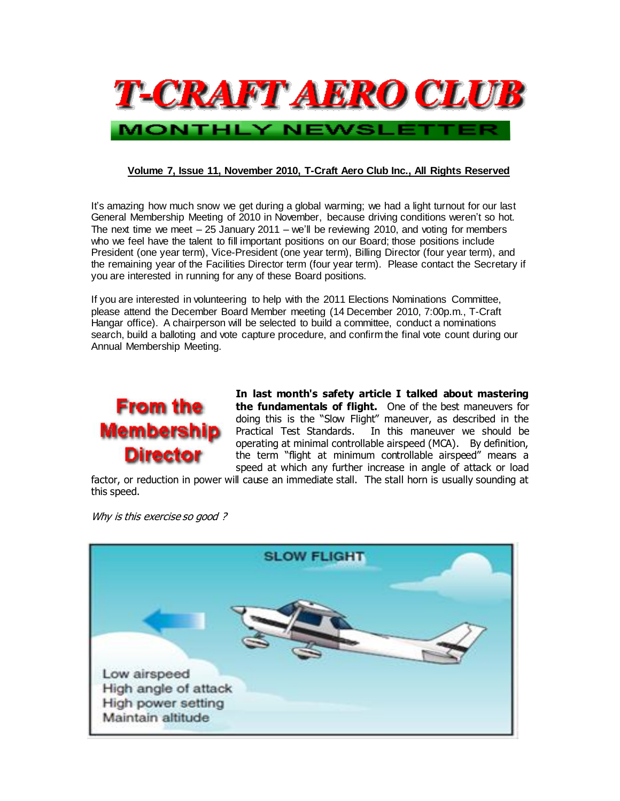

#### **Volume 7, Issue 11, November 2010, T-Craft Aero Club Inc., All Rights Reserved**

It's amazing how much snow we get during a global warming; we had a light turnout for our last General Membership Meeting of 2010 in November, because driving conditions weren't so hot. The next time we meet – 25 January 2011 – we'll be reviewing 2010, and voting for members who we feel have the talent to fill important positions on our Board; those positions include President (one year term), Vice-President (one year term), Billing Director (four year term), and the remaining year of the Facilities Director term (four year term). Please contact the Secretary if you are interested in running for any of these Board positions.

If you are interested in volunteering to help with the 2011 Elections Nominations Committee, please attend the December Board Member meeting (14 December 2010, 7:00p.m., T-Craft Hangar office). A chairperson will be selected to build a committee, conduct a nominations search, build a balloting and vote capture procedure, and confirm the final vote count during our Annual Membership Meeting.



**In last month's safety article I talked about mastering the fundamentals of flight.** One of the best maneuvers for doing this is the "Slow Flight" maneuver, as described in the Practical Test Standards.In this maneuver we should be operating at minimal controllable airspeed (MCA). By definition, the term "flight at minimum controllable airspeed" means a speed at which any further increase in angle of attack or load

factor, or reduction in power will cause an immediate stall. The stall horn is usually sounding at this speed.

Why is this exercise so good?

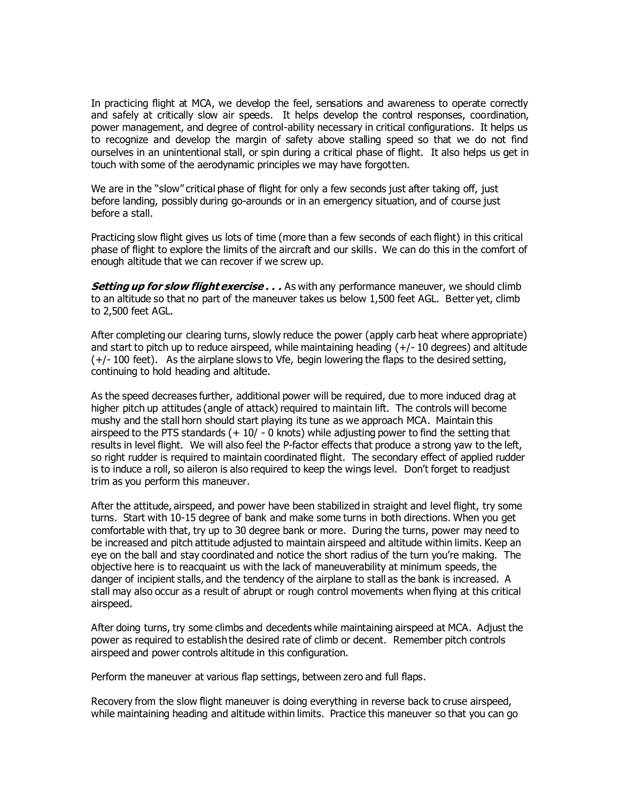In practicing flight at MCA, we develop the feel, sensations and awareness to operate correctly and safely at critically slow air speeds. It helps develop the control responses, coordination, power management, and degree of control-ability necessary in critical configurations. It helps us to recognize and develop the margin of safety above stalling speed so that we do not find ourselves in an unintentional stall, or spin during a critical phase of flight. It also helps us get in touch with some of the aerodynamic principles we may have forgotten.

We are in the "slow" critical phase of flight for only a few seconds just after taking off, just before landing, possibly during go-arounds or in an emergency situation, and of course just before a stall.

Practicing slow flight gives us lots of time (more than a few seconds of each flight) in this critical phase of flight to explore the limits of the aircraft and our skills. We can do this in the comfort of enough altitude that we can recover if we screw up.

**Setting up for slow flight exercise . . .** As with any performance maneuver, we should climb to an altitude so that no part of the maneuver takes us below 1,500 feet AGL. Better yet, climb to 2,500 feet AGL.

After completing our clearing turns, slowly reduce the power (apply carb heat where appropriate) and start to pitch up to reduce airspeed, while maintaining heading  $(+/-10$  degrees) and altitude (+/- 100 feet). As the airplane slows to Vfe, begin lowering the flaps to the desired setting, continuing to hold heading and altitude.

As the speed decreases further, additional power will be required, due to more induced drag at higher pitch up attitudes (angle of attack) required to maintain lift. The controls will become mushy and the stall horn should start playing its tune as we approach MCA. Maintain this airspeed to the PTS standards  $(+10/-0$  knots) while adjusting power to find the setting that results in level flight. We will also feel the P-factor effects that produce a strong yaw to the left, so right rudder is required to maintain coordinated flight. The secondary effect of applied rudder is to induce a roll, so aileron is also required to keep the wings level. Don't forget to readjust trim as you perform this maneuver.

After the attitude, airspeed, and power have been stabilized in straight and level flight, try some turns. Start with 10-15 degree of bank and make some turns in both directions. When you get comfortable with that, try up to 30 degree bank or more. During the turns, power may need to be increased and pitch attitude adjusted to maintain airspeed and altitude within limits. Keep an eye on the ball and stay coordinated and notice the short radius of the turn you're making. The objective here is to reacquaint us with the lack of maneuverability at minimum speeds, the danger of incipient stalls, and the tendency of the airplane to stall as the bank is increased. A stall may also occur as a result of abrupt or rough control movements when flying at this critical airspeed.

After doing turns, try some climbs and decedents while maintaining airspeed at MCA. Adjust the power as required to establish the desired rate of climb or decent. Remember pitch controls airspeed and power controls altitude in this configuration.

Perform the maneuver at various flap settings, between zero and full flaps.

Recovery from the slow flight maneuver is doing everything in reverse back to cruse airspeed, while maintaining heading and altitude within limits. Practice this maneuver so that you can go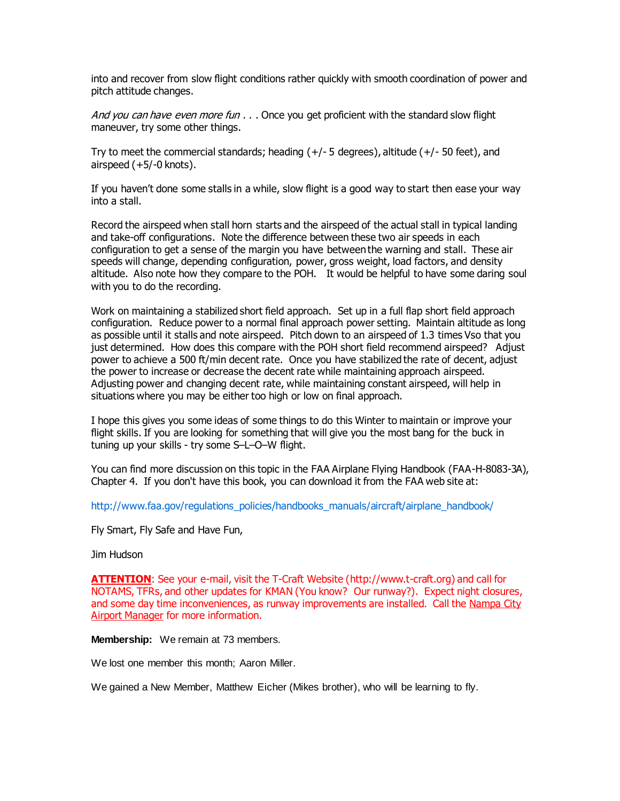into and recover from slow flight conditions rather quickly with smooth coordination of power and pitch attitude changes.

And you can have even more fun  $\ldots$  Once you get proficient with the standard slow flight maneuver, try some other things.

Try to meet the commercial standards; heading (+/- 5 degrees), altitude (+/- 50 feet), and airspeed (+5/-0 knots).

If you haven't done some stalls in a while, slow flight is a good way to start then ease your way into a stall.

Record the airspeed when stall horn starts and the airspeed of the actual stall in typical landing and take-off configurations. Note the difference between these two air speeds in each configuration to get a sense of the margin you have between the warning and stall. These air speeds will change, depending configuration, power, gross weight, load factors, and density altitude. Also note how they compare to the POH. It would be helpful to have some daring soul with you to do the recording.

Work on maintaining a stabilized short field approach. Set up in a full flap short field approach configuration. Reduce power to a normal final approach power setting. Maintain altitude as long as possible until it stalls and note airspeed. Pitch down to an airspeed of 1.3 times Vso that you just determined. How does this compare with the POH short field recommend airspeed? Adjust power to achieve a 500 ft/min decent rate. Once you have stabilized the rate of decent, adjust the power to increase or decrease the decent rate while maintaining approach airspeed. Adjusting power and changing decent rate, while maintaining constant airspeed, will help in situations where you may be either too high or low on final approach.

I hope this gives you some ideas of some things to do this Winter to maintain or improve your flight skills. If you are looking for something that will give you the most bang for the buck in tuning up your skills - try some S–L–O–W flight.

You can find more discussion on this topic in the FAA Airplane Flying Handbook (FAA-H-8083-3A), Chapter 4. If you don't have this book, you can download it from the FAA web site at:

[http://www.faa.gov/regulations\\_policies/handbooks\\_manuals/aircraft/airplane\\_handbook/](http://www.faa.gov/regulations_policies/handbooks_manuals/aircraft/airplane_handbook/)

Fly Smart, Fly Safe and Have Fun,

#### Jim Hudson

**ATTENTION**: See your e-mail, visit the T-Craft Website [\(http://www.t-craft.org\)](http://www.t-craft.org/) and call for NOTAMS, TFRs, and other updates for KMAN (You know? Our runway?). Expect night closures, and some day time inconveniences, as runway improvements are installed. Call the Nampa City **Airport Manager for more information.** 

**Membership:** We remain at 73 members.

We lost one member this month; Aaron Miller.

We gained a New Member, Matthew Eicher (Mikes brother), who will be learning to fly.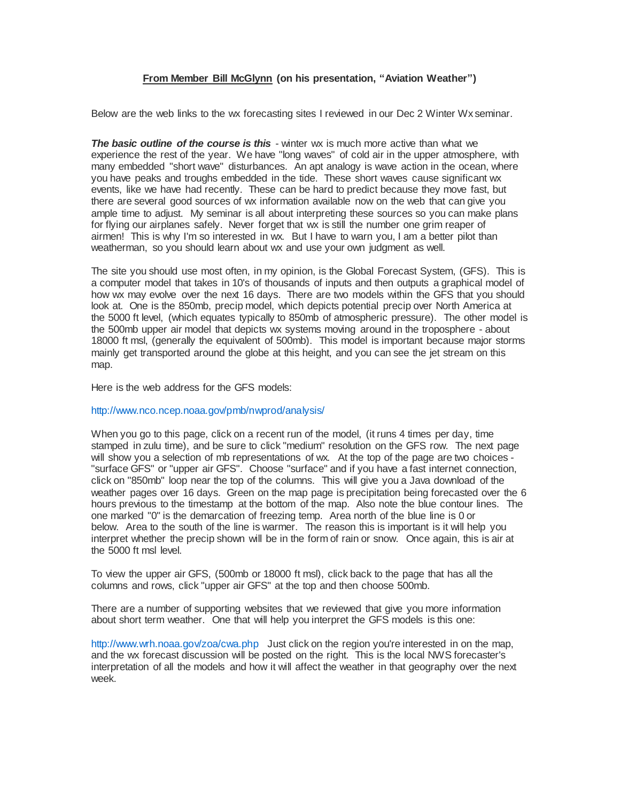#### **From Member Bill McGlynn (on his presentation, "Aviation Weather")**

Below are the web links to the wx forecasting sites I reviewed in our Dec 2 Winter Wx seminar.

**The basic outline of the course is this** - winter wx is much more active than what we experience the rest of the year. We have "long waves" of cold air in the upper atmosphere, with many embedded "short wave" disturbances. An apt analogy is wave action in the ocean, where you have peaks and troughs embedded in the tide. These short waves cause significant wx events, like we have had recently. These can be hard to predict because they move fast, but there are several good sources of wx information available now on the web that can give you ample time to adjust. My seminar is all about interpreting these sources so you can make plans for flying our airplanes safely. Never forget that wx is still the number one grim reaper of airmen! This is why I'm so interested in wx. But I have to warn you, I am a better pilot than weatherman, so you should learn about wx and use your own judgment as well.

The site you should use most often, in my opinion, is the Global Forecast System, (GFS). This is a computer model that takes in 10's of thousands of inputs and then outputs a graphical model of how wx may evolve over the next 16 days. There are two models within the GFS that you should look at. One is the 850mb, precip model, which depicts potential precip over North America at the 5000 ft level, (which equates typically to 850mb of atmospheric pressure). The other model is the 500mb upper air model that depicts wx systems moving around in the troposphere - about 18000 ft msl, (generally the equivalent of 500mb). This model is important because major storms mainly get transported around the globe at this height, and you can see the jet stream on this map.

Here is the web address for the GFS models:

<http://www.nco.ncep.noaa.gov/pmb/nwprod/analysis/>

When you go to this page, click on a recent run of the model, (it runs 4 times per day, time stamped in zulu time), and be sure to click "medium" resolution on the GFS row. The next page will show you a selection of mb representations of wx. At the top of the page are two choices - "surface GFS" or "upper air GFS". Choose "surface" and if you have a fast internet connection, click on "850mb" loop near the top of the columns. This will give you a Java download of the weather pages over 16 days. Green on the map page is precipitation being forecasted over the 6 hours previous to the timestamp at the bottom of the map. Also note the blue contour lines. The one marked "0" is the demarcation of freezing temp. Area north of the blue line is 0 or below. Area to the south of the line is warmer. The reason this is important is it will help you interpret whether the precip shown will be in the form of rain or snow. Once again, this is air at the 5000 ft msl level.

To view the upper air GFS, (500mb or 18000 ft msl), click back to the page that has all the columns and rows, click "upper air GFS" at the top and then choose 500mb.

There are a number of supporting websites that we reviewed that give you more information about short term weather. One that will help you interpret the GFS models is this one:

<http://www.wrh.noaa.gov/zoa/cwa.php> Just click on the region you're interested in on the map, and the wx forecast discussion will be posted on the right. This is the local NWS forecaster's interpretation of all the models and how it will affect the weather in that geography over the next week.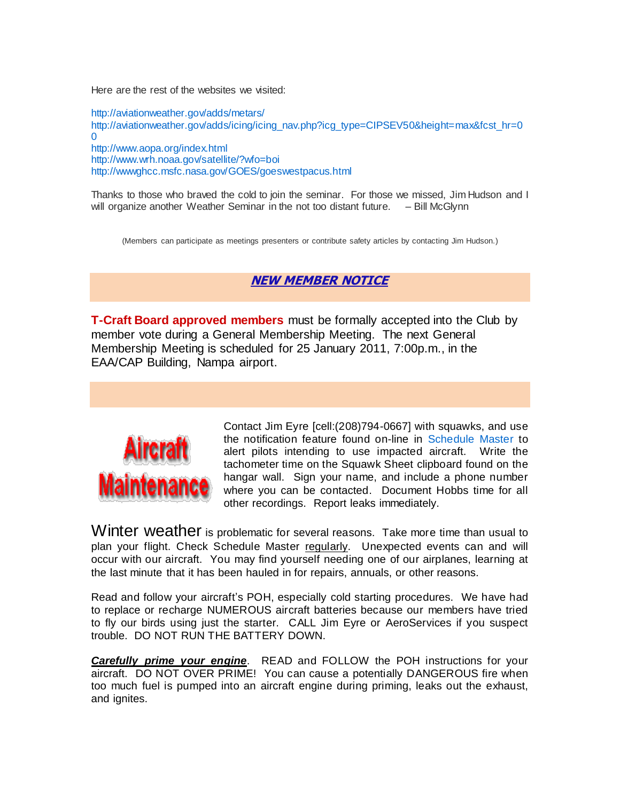Here are the rest of the websites we visited:

<http://aviationweather.gov/adds/metars/> [http://aviationweather.gov/adds/icing/icing\\_nav.php?icg\\_type=CIPSEV50&height=max&fcst\\_hr=0](http://aviationweather.gov/adds/icing/icing_nav.php?icg_type=CIPSEV50&height=max&fcst_hr=00)  $\Omega$ <http://www.aopa.org/index.html> <http://www.wrh.noaa.gov/satellite/?wfo=boi> <http://wwwghcc.msfc.nasa.gov/GOES/goeswestpacus.html>

Thanks to those who braved the cold to join the seminar. For those we missed, Jim Hudson and I will organize another Weather Seminar in the not too distant future. – Bill McGlynn

(Members can participate as meetings presenters or contribute safety articles by contacting Jim Hudson.)

### **NEW MEMBER NOTICE**

**T-Craft Board approved members** must be formally accepted into the Club by member vote during a General Membership Meeting. The next General Membership Meeting is scheduled for 25 January 2011, 7:00p.m., in the EAA/CAP Building, Nampa airport.



Contact Jim Eyre [cell:(208)794-0667] with squawks, and use the notification feature found on-line in [Schedule Master](http://www.schedulemaster.com/) to alert pilots intending to use impacted aircraft. Write the tachometer time on the Squawk Sheet clipboard found on the hangar wall. Sign your name, and include a phone number where you can be contacted. Document Hobbs time for all other recordings. Report leaks immediately.

Winter weather is problematic for several reasons. Take more time than usual to plan your flight. Check Schedule Master regularly. Unexpected events can and will occur with our aircraft. You may find yourself needing one of our airplanes, learning at the last minute that it has been hauled in for repairs, annuals, or other reasons.

Read and follow your aircraft's POH, especially cold starting procedures. We have had to replace or recharge NUMEROUS aircraft batteries because our members have tried to fly our birds using just the starter. CALL Jim Eyre or AeroServices if you suspect trouble. DO NOT RUN THE BATTERY DOWN.

*Carefully prime your engine*. READ and FOLLOW the POH instructions for your aircraft. DO NOT OVER PRIME! You can cause a potentially DANGEROUS fire when too much fuel is pumped into an aircraft engine during priming, leaks out the exhaust, and ignites.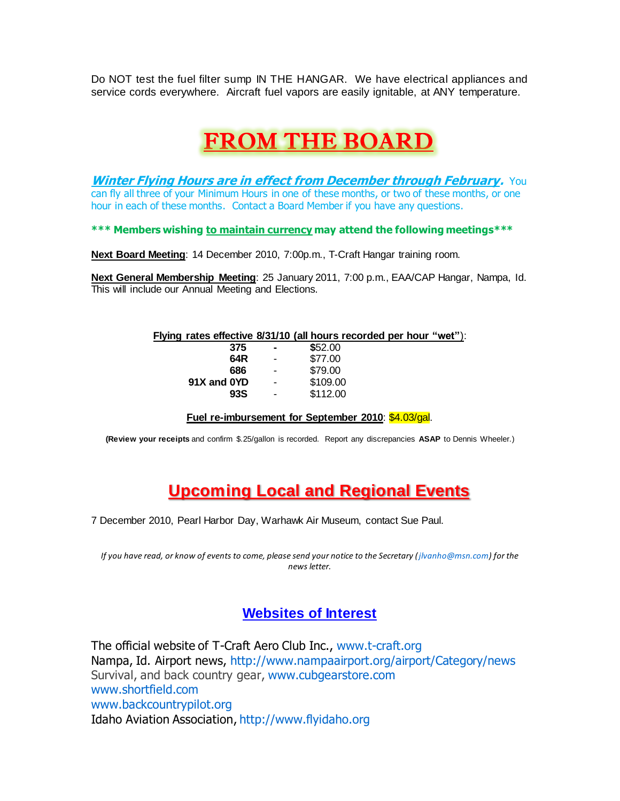Do NOT test the fuel filter sump IN THE HANGAR. We have electrical appliances and service cords everywhere. Aircraft fuel vapors are easily ignitable, at ANY temperature.

# FROM THE BOARD

**Winter Flying Hours are in effect from December through February.** You can fly all three of your Minimum Hours in one of these months, or two of these months, or one hour in each of these months. Contact a Board Member if you have any questions.

**\*\*\* Members wishing to maintain currency may attend the following meetings\*\*\***

**Next Board Meeting**: 14 December 2010, 7:00p.m., T-Craft Hangar training room.

**Next General Membership Meeting**: 25 January 2011, 7:00 p.m., EAA/CAP Hangar, Nampa, Id. This will include our Annual Meeting and Elections.

#### **Flying rates effective 8/31/10 (all hours recorded per hour "wet"**):

| 375         | $\blacksquare$ | \$52.00  |
|-------------|----------------|----------|
| 64R         | ٠              | \$77.00  |
| 686         | ٠              | \$79.00  |
| 91X and 0YD | $\blacksquare$ | \$109.00 |
| 93S         | ٠              | \$112.00 |
|             |                |          |

#### **Fuel re-imbursement for September 2010**: \$4.03/gal.

**(Review your receipts** and confirm \$.25/gallon is recorded. Report any discrepancies **ASAP** to Dennis Wheeler.)

## **Upcoming Local and Regional Events**

7 December 2010, Pearl Harbor Day, Warhawk Air Museum, contact Sue Paul.

*If you have read, or know of events to come, please send your notice to the Secretary [\(jlvanho@msn.com\)](mailto:jlvanho@msn.com) for the news letter.*

### **Websites of Interest**

The official website of T-Craft Aero Club Inc., [www.t-craft.org](http://www.t-craft.org/) Nampa, Id. Airport news,<http://www.nampaairport.org/airport/Category/news> Survival, and back country gear, [www.cubgearstore.com](http://www.cubgearstore.com/) [www.shortfield.com](http://www.shortfield.com/) [www.backcountrypilot.org](http://www.backcountrypilot.org/) Idaho Aviation Association[, http://www.flyidaho.org](http://www.flyidaho.org/)